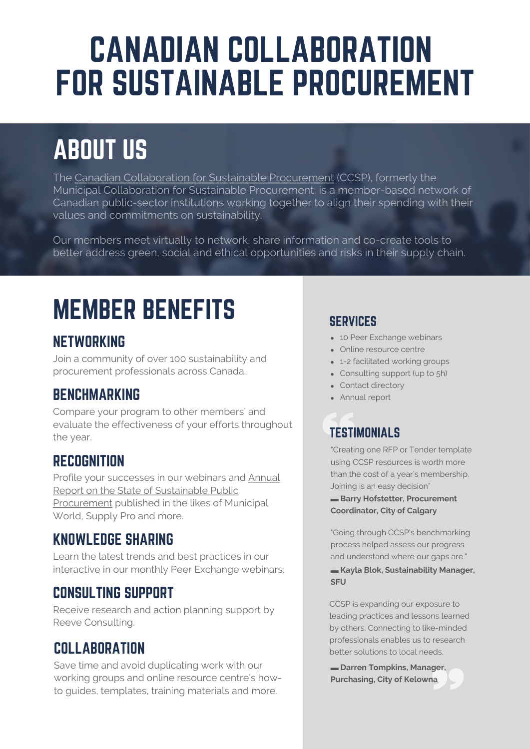# CANADIAN COLLABORATION FOR SUSTAINABLE PROCUREMENT

## ABOUT US

The Canadian Collaboration for Sustainable Procurement (CCSP), formerly the Municipal Collaboration for Sustainable Procurement, is a [member-based](https://www.reeveconsulting.com/about-mcsp/) network of Canadian public-sector institutions working together to align their spending with their values and commitments on sustainability.

Our members meet virtually to network, share information and co-create tools to better address green, social and ethical opportunities and risks in their supply chain.

## MEMBER BENEFITS

### NETWORKING

Join a community of over 100 sustainability and procurement professionals across Canada.

### **BENCHMARKING**

Compare your program to other members' and evaluate the effectiveness of your efforts throughout the year.

### RECOGNITION

Profile your successes in our webinars and Annual Report on the State of Sustainable Public [Procurement](https://www.reeveconsulting.com/about-mcsp/) published in the likes of Municipal World, Supply Pro and more.

### KNOWLEDGE SHARING

Learn the latest trends and best practices in our interactive in our monthly Peer Exchange webinars.

### CONSULTING SUPPORT

Receive research and action planning support by Reeve Consulting.

### **COLLABORATION**

Save time and avoid [duplicating](https://www.reeveconsulting.com/) work with our working groups and online resource centre's howto guides, templates, training materials and more.

#### **SERVICES**

- 10 Peer Exchange webinars
- Online resource centre
- 1-2 facilitated working groups
- Consulting support (up to 5h)
- Contact directory
- Annual report

## **TESTIMONIALS**

"Creating one RFP or Tender template using CCSP resources is worth more than the cost of a year's membership. Joining is an easy decision"

**▬ Barry Hofstetter, Procurement Coordinator, City of Calgary**

"Going through CCSP's benchmarking process helped assess our progress and understand where our gaps are."

#### **▬ Kayla Blok, Sustainability Manager, SFU**

CCSP is expanding our exposure to leading practices and lessons learned by others. Connecting to like-minded professionals enables us to research better solutions to local needs.

**▬ Darren Tompkins, Manager, Purchasing, City of Kelowna**